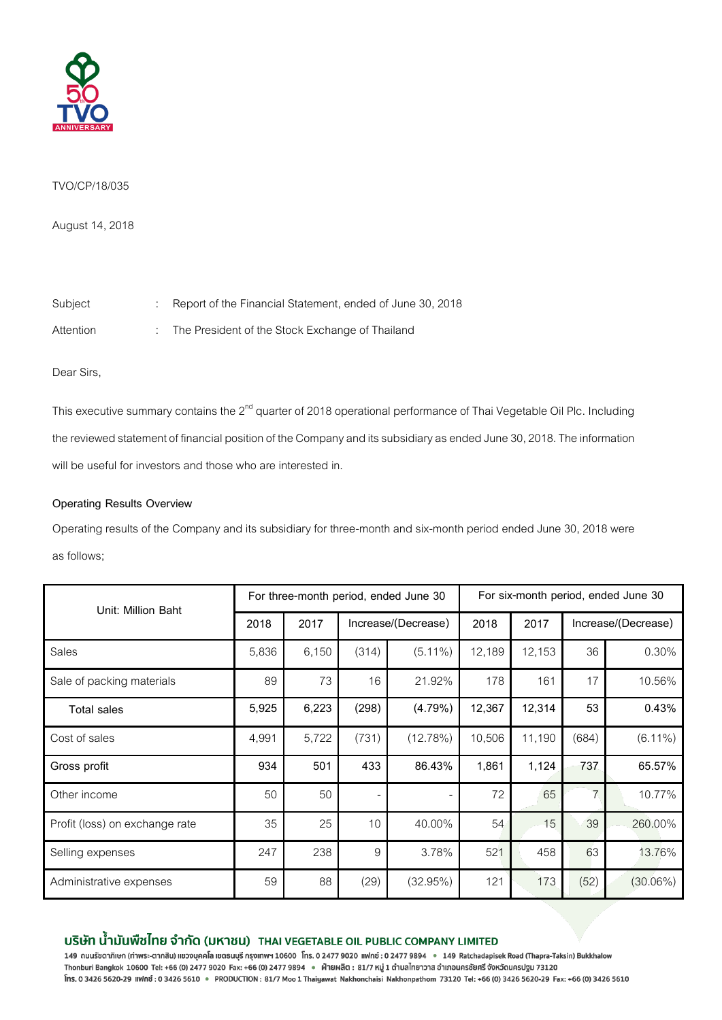

## TVO/CP/18/035

August 14, 2018

Subject : Report of the Financial Statement, ended of June 30, 2018

Attention : The President of the Stock Exchange of Thailand

Dear Sirs,

This executive summary contains the 2<sup>nd</sup> quarter of 2018 operational performance of Thai Vegetable Oil Plc. Including the reviewed statement of financial position of the Company and its subsidiary as ended June30, 2018. The information will be useful for investors and those who are interested in.

# **Operating Results Overview**

Operating results of the Company and its subsidiary for three-month and six-month period ended June 30, 2018 were as follows;

| Unit: Million Baht             | For three-month period, ended June 30 |       |                     |            | For six-month period, ended June 30 |        |                     |             |
|--------------------------------|---------------------------------------|-------|---------------------|------------|-------------------------------------|--------|---------------------|-------------|
|                                | 2018                                  | 2017  | Increase/(Decrease) |            | 2018                                | 2017   | Increase/(Decrease) |             |
| Sales                          | 5,836                                 | 6,150 | (314)               | $(5.11\%)$ | 12,189                              | 12,153 | 36                  | 0.30%       |
| Sale of packing materials      | 89                                    | 73    | 16                  | 21.92%     | 178                                 | 161    | 17                  | 10.56%      |
| <b>Total sales</b>             | 5,925                                 | 6,223 | (298)               | (4.79%)    | 12,367                              | 12,314 | 53                  | 0.43%       |
| Cost of sales                  | 4,991                                 | 5,722 | (731)               | (12.78%)   | 10,506                              | 11,190 | (684)               | $(6.11\%)$  |
| Gross profit                   | 934                                   | 501   | 433                 | 86.43%     | 1,861                               | 1,124  | 737                 | 65.57%      |
| Other income                   | 50                                    | 50    |                     |            | 72                                  | 65     | $\overline{7}$      | 10.77%      |
| Profit (loss) on exchange rate | 35                                    | 25    | 10                  | 40.00%     | 54                                  | 15     | 39                  | 260.00%     |
| Selling expenses               | 247                                   | 238   | 9                   | 3.78%      | 521                                 | 458    | 63                  | 13.76%      |
| Administrative expenses        | 59                                    | 88    | (29)                | (32.95%)   | 121                                 | 173    | (52)                | $(30.06\%)$ |

# บริษัท น้ำมันพืชไทย จำกัด (มหาชน) THAI VEGETABLE OIL PUBLIC COMPANY LIMITED

149 ถนนรัชดาภิเษก (ท่าพระ-ตากสิน) แขวงบุคคโล เขตธนบุรี กรุงเทพฯ 10600 โทร. 0 2477 9020 แฟกซ์ : 0 2477 9894 • 149 Ratchadapisek Road (Thapra-Taksin) Bukkhalow Thonburi Bangkok 10600 Tel: +66 (0) 2477 9020 Fax: +66 (0) 2477 9894 • ฝ่ายผลิต : 81/7 หมู่ 1 ดำบลไทยาวาส อำเภอนครชัยศรี จังหวัดนครปฐม 73120 Ins. 0 3426 5620-29 ||Who : 0 3426 5610 · PRODUCTION: 81/7 Moo 1 Thaiyawat Nakhonchaisi Nakhonpathom 73120 Tel: +66 (0) 3426 5620-29 Fax: +66 (0) 3426 5610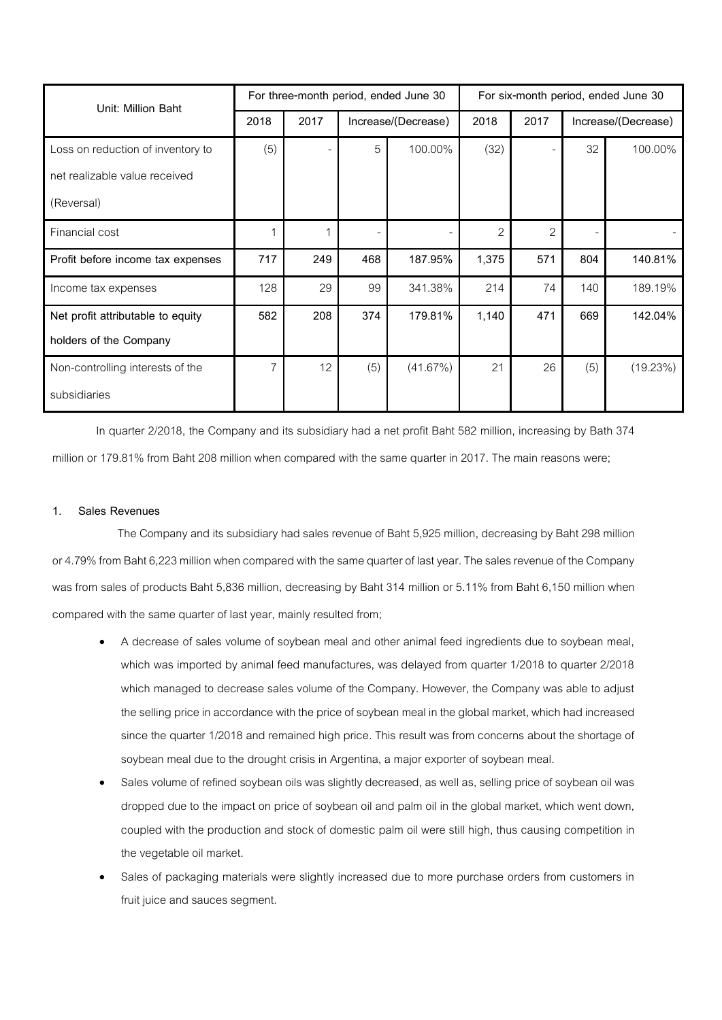| Unit: Million Baht                | For three-month period, ended June 30 |      |                     |          | For six-month period, ended June 30 |                |                     |          |
|-----------------------------------|---------------------------------------|------|---------------------|----------|-------------------------------------|----------------|---------------------|----------|
|                                   | 2018                                  | 2017 | Increase/(Decrease) |          | 2018                                | 2017           | Increase/(Decrease) |          |
| Loss on reduction of inventory to | (5)                                   |      | 5                   | 100.00%  | (32)                                |                | 32                  | 100.00%  |
| net realizable value received     |                                       |      |                     |          |                                     |                |                     |          |
| (Reversal)                        |                                       |      |                     |          |                                     |                |                     |          |
| Financial cost                    |                                       |      |                     |          | $\overline{2}$                      | $\overline{2}$ |                     |          |
| Profit before income tax expenses | 717                                   | 249  | 468                 | 187.95%  | 1,375                               | 571            | 804                 | 140.81%  |
| Income tax expenses               | 128                                   | 29   | 99                  | 341.38%  | 214                                 | 74             | 140                 | 189.19%  |
| Net profit attributable to equity | 582                                   | 208  | 374                 | 179.81%  | 1,140                               | 471            | 669                 | 142.04%  |
| holders of the Company            |                                       |      |                     |          |                                     |                |                     |          |
| Non-controlling interests of the  |                                       | 12   | (5)                 | (41.67%) | 21                                  | 26             | (5)                 | (19.23%) |
| subsidiaries                      |                                       |      |                     |          |                                     |                |                     |          |

In quarter 2/2018, the Company and its subsidiary had a net profit Baht 582 million, increasing by Bath 374 million or 179.81% from Baht 208 million when compared with the same quarter in 2017. The main reasons were;

## **1. Sales Revenues**

The Company and its subsidiary had sales revenue of Baht 5,925 million, decreasing by Baht 298 million or 4.79% from Baht 6,223 million when compared with the same quarter of last year. The sales revenue of the Company was from sales of products Baht 5,836 million, decreasing by Baht 314 million or 5.11% from Baht 6,150 million when compared with the same quarter of last year, mainly resulted from;

- A decrease of sales volume of soybean meal and other animal feed ingredients due to soybean meal, which was imported by animal feed manufactures, was delayed from quarter 1/2018 to quarter 2/2018 which managed to decrease sales volume of the Company. However, the Company was able to adjust the selling price in accordance with the price of soybean meal in the global market, which had increased since the quarter 1/2018 and remained high price. This result was from concerns about the shortage of soybean meal due to the drought crisis in Argentina, a major exporter of soybean meal.
- Sales volume of refined soybean oils was slightly decreased, as well as, selling price of soybean oil was dropped due to the impact on price of soybean oil and palm oil in the global market, which went down, coupled with the production and stock of domestic palm oil were still high, thus causing competition in the vegetable oil market.
- Sales of packaging materials were slightly increased due to more purchase orders from customers in fruit juice and sauces segment.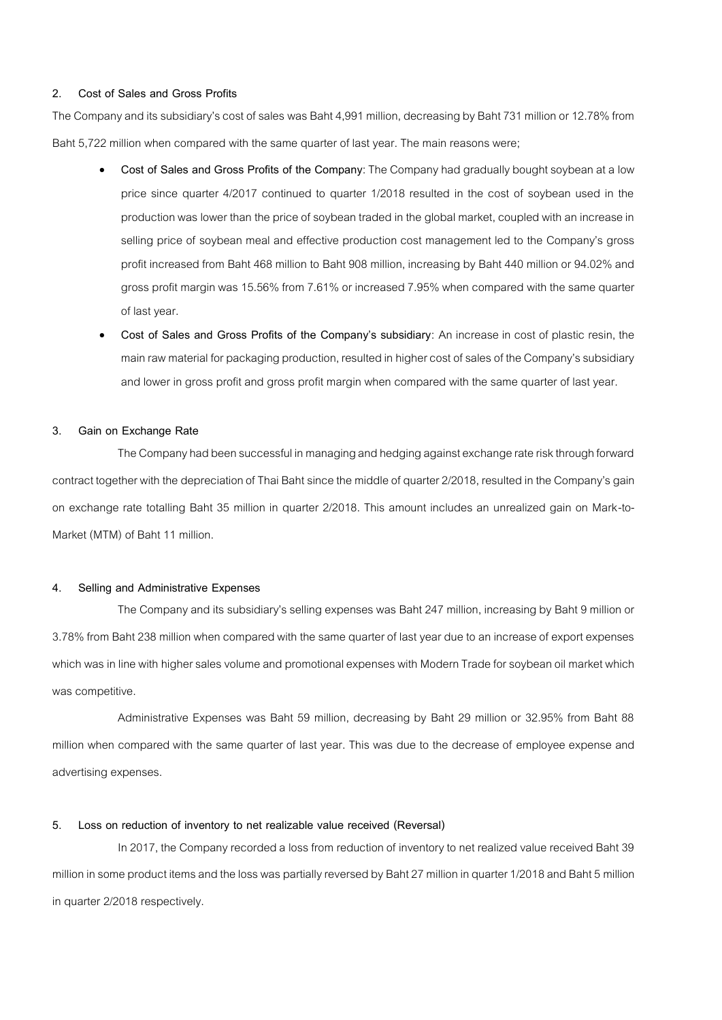#### **2. Cost of Sales and Gross Profits**

The Company and its subsidiary's cost of sales was Baht 4,991 million, decreasing by Baht 731 million or 12.78% from Baht 5,722 million when compared with the same quarter of last year. The main reasons were;

- **Cost of Sales and Gross Profits of the Company**: The Company had gradually bought soybean at a low price since quarter 4/2017 continued to quarter 1/2018 resulted in the cost of soybean used in the production was lower than the price of soybean traded in the global market, coupled with an increase in selling price of soybean meal and effective production cost management led to the Company's gross profit increased from Baht 468 million to Baht 908 million, increasing by Baht 440 million or 94.02% and gross profit margin was 15.56% from 7.61% or increased 7.95% when compared with the same quarter of last year.
- **Cost of Sales and Gross Profits of the Company's subsidiary**: An increase in cost of plastic resin, the main raw material for packaging production, resulted in higher cost of sales of the Company's subsidiary and lower in gross profit and gross profit margin when compared with the same quarter of last year.

#### **3. Gain on Exchange Rate**

The Company had been successful in managing and hedging against exchange rate risk through forward contract together with the depreciation of Thai Baht since the middle of quarter 2/2018, resulted in the Company's gain on exchange rate totalling Baht 35 million in quarter 2/2018. This amount includes an unrealized gain on Mark-to-Market (MTM) of Baht 11 million.

#### **4. Selling and Administrative Expenses**

The Company and its subsidiary's selling expenses was Baht 247 million, increasing by Baht 9 million or 3.78% from Baht 238 million when compared with the same quarter of last year due to an increase of export expenses which was in line with higher sales volume and promotional expenses with Modern Trade for soybean oil market which was competitive.

Administrative Expenses was Baht 59 million, decreasing by Baht 29 million or 32.95% from Baht 88 million when compared with the same quarter of last year. This was due to the decrease of employee expense and advertising expenses.

#### **5. Loss on reduction of inventory to net realizable value received (Reversal)**

In 2017, the Company recorded a loss from reduction of inventory to net realized value received Baht 39 million in some product items and the loss was partially reversed by Baht 27 million in quarter 1/2018 and Baht 5 million in quarter 2/2018 respectively.